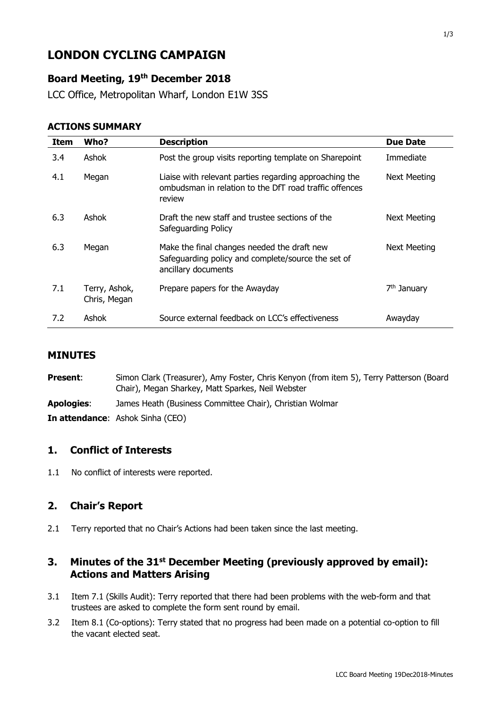# **LONDON CYCLING CAMPAIGN**

# **Board Meeting, 19th December 2018**

LCC Office, Metropolitan Wharf, London E1W 3SS

#### **ACTIONS SUMMARY**

| <b>Item</b> | Who?                          | <b>Description</b>                                                                                                         | <b>Due Date</b>         |
|-------------|-------------------------------|----------------------------------------------------------------------------------------------------------------------------|-------------------------|
| 3.4         | Ashok                         | Post the group visits reporting template on Sharepoint                                                                     | Immediate               |
| 4.1         | Megan                         | Liaise with relevant parties regarding approaching the<br>ombudsman in relation to the DfT road traffic offences<br>review | <b>Next Meeting</b>     |
| 6.3         | Ashok                         | Draft the new staff and trustee sections of the<br>Safeguarding Policy                                                     | <b>Next Meeting</b>     |
| 6.3         | Megan                         | Make the final changes needed the draft new<br>Safeguarding policy and complete/source the set of<br>ancillary documents   | <b>Next Meeting</b>     |
| 7.1         | Terry, Ashok,<br>Chris, Megan | Prepare papers for the Awayday                                                                                             | 7 <sup>th</sup> January |
| 7.2         | Ashok                         | Source external feedback on LCC's effectiveness                                                                            | Awayday                 |

#### **MINUTES**

| <b>Present:</b>   | Simon Clark (Treasurer), Amy Foster, Chris Kenyon (from item 5), Terry Patterson (Board<br>Chair), Megan Sharkey, Matt Sparkes, Neil Webster |
|-------------------|----------------------------------------------------------------------------------------------------------------------------------------------|
| <b>Apologies:</b> | James Heath (Business Committee Chair), Christian Wolmar                                                                                     |
|                   | <b>In attendance:</b> Ashok Sinha (CEO)                                                                                                      |

# **1. Conflict of Interests**

1.1 No conflict of interests were reported.

# **2. Chair's Report**

2.1 Terry reported that no Chair's Actions had been taken since the last meeting.

# **3. Minutes of the 31st December Meeting (previously approved by email): Actions and Matters Arising**

- 3.1 Item 7.1 (Skills Audit): Terry reported that there had been problems with the web-form and that trustees are asked to complete the form sent round by email.
- 3.2 Item 8.1 (Co-options): Terry stated that no progress had been made on a potential co-option to fill the vacant elected seat.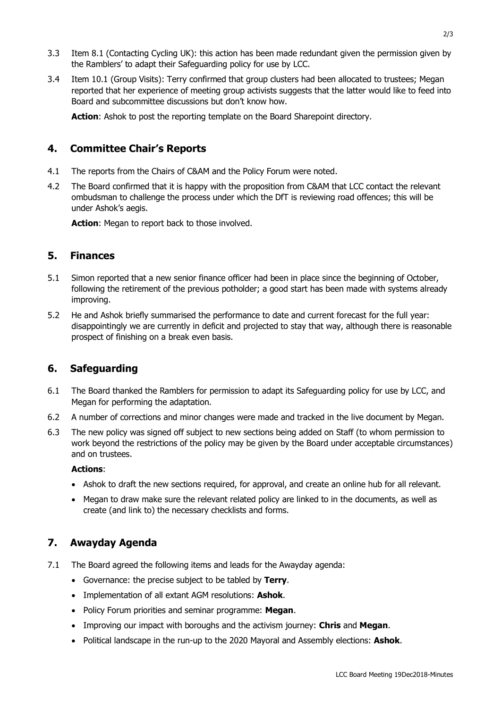- 3.3 Item 8.1 (Contacting Cycling UK): this action has been made redundant given the permission given by the Ramblers' to adapt their Safeguarding policy for use by LCC.
- 3.4 Item 10.1 (Group Visits): Terry confirmed that group clusters had been allocated to trustees; Megan reported that her experience of meeting group activists suggests that the latter would like to feed into Board and subcommittee discussions but don't know how.

**Action**: Ashok to post the reporting template on the Board Sharepoint directory.

### **4. Committee Chair's Reports**

- 4.1 The reports from the Chairs of C&AM and the Policy Forum were noted.
- 4.2 The Board confirmed that it is happy with the proposition from C&AM that LCC contact the relevant ombudsman to challenge the process under which the DfT is reviewing road offences; this will be under Ashok's aegis.

Action: Megan to report back to those involved.

#### **5. Finances**

- 5.1 Simon reported that a new senior finance officer had been in place since the beginning of October, following the retirement of the previous potholder; a good start has been made with systems already improving.
- 5.2 He and Ashok briefly summarised the performance to date and current forecast for the full year: disappointingly we are currently in deficit and projected to stay that way, although there is reasonable prospect of finishing on a break even basis.

# **6. Safeguarding**

- 6.1 The Board thanked the Ramblers for permission to adapt its Safeguarding policy for use by LCC, and Megan for performing the adaptation.
- 6.2 A number of corrections and minor changes were made and tracked in the live document by Megan.
- 6.3 The new policy was signed off subject to new sections being added on Staff (to whom permission to work beyond the restrictions of the policy may be given by the Board under acceptable circumstances) and on trustees.

#### **Actions**:

- Ashok to draft the new sections required, for approval, and create an online hub for all relevant.
- Megan to draw make sure the relevant related policy are linked to in the documents, as well as create (and link to) the necessary checklists and forms.

# **7. Awayday Agenda**

- 7.1 The Board agreed the following items and leads for the Awayday agenda:
	- Governance: the precise subject to be tabled by **Terry**.
	- Implementation of all extant AGM resolutions: **Ashok**.
	- Policy Forum priorities and seminar programme: **Megan**.
	- Improving our impact with boroughs and the activism journey: **Chris** and **Megan**.
	- Political landscape in the run-up to the 2020 Mayoral and Assembly elections: **Ashok**.